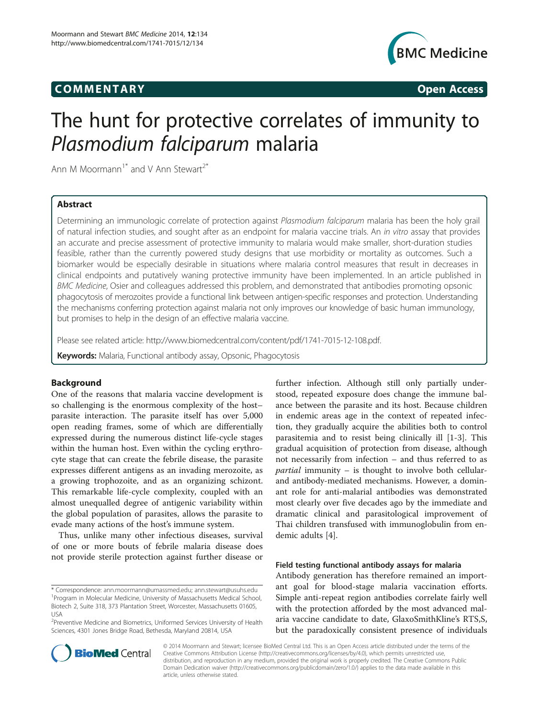## COMM EN TARY Open Access



# The hunt for protective correlates of immunity to Plasmodium falciparum malaria

Ann M Moormann<sup>1\*</sup> and V Ann Stewart<sup>2\*</sup>

## Abstract

Determining an immunologic correlate of protection against Plasmodium falciparum malaria has been the holy grail of natural infection studies, and sought after as an endpoint for malaria vaccine trials. An in vitro assay that provides an accurate and precise assessment of protective immunity to malaria would make smaller, short-duration studies feasible, rather than the currently powered study designs that use morbidity or mortality as outcomes. Such a biomarker would be especially desirable in situations where malaria control measures that result in decreases in clinical endpoints and putatively waning protective immunity have been implemented. In an article published in BMC Medicine, Osier and colleagues addressed this problem, and demonstrated that antibodies promoting opsonic phagocytosis of merozoites provide a functional link between antigen-specific responses and protection. Understanding the mechanisms conferring protection against malaria not only improves our knowledge of basic human immunology, but promises to help in the design of an effective malaria vaccine.

Please see related article: [http://www.biomedcentral.com/content/pdf/1741-7015-12-108.pdf.](http://www.biomedcentral.com/content/pdf/1741-7015-12-108.pdf)

Keywords: Malaria, Functional antibody assay, Opsonic, Phagocytosis

## Background

One of the reasons that malaria vaccine development is so challenging is the enormous complexity of the host– parasite interaction. The parasite itself has over 5,000 open reading frames, some of which are differentially expressed during the numerous distinct life-cycle stages within the human host. Even within the cycling erythrocyte stage that can create the febrile disease, the parasite expresses different antigens as an invading merozoite, as a growing trophozoite, and as an organizing schizont. This remarkable life-cycle complexity, coupled with an almost unequalled degree of antigenic variability within the global population of parasites, allows the parasite to evade many actions of the host's immune system.

Thus, unlike many other infectious diseases, survival of one or more bouts of febrile malaria disease does not provide sterile protection against further disease or

further infection. Although still only partially understood, repeated exposure does change the immune balance between the parasite and its host. Because children in endemic areas age in the context of repeated infection, they gradually acquire the abilities both to control parasitemia and to resist being clinically ill [\[1](#page-1-0)-[3\]](#page-1-0). This gradual acquisition of protection from disease, although not necessarily from infection – and thus referred to as partial immunity – is thought to involve both cellularand antibody-mediated mechanisms. However, a dominant role for anti-malarial antibodies was demonstrated most clearly over five decades ago by the immediate and dramatic clinical and parasitological improvement of Thai children transfused with immunoglobulin from endemic adults [\[4\]](#page-1-0).

## Field testing functional antibody assays for malaria

Antibody generation has therefore remained an important goal for blood-stage malaria vaccination efforts. Simple anti-repeat region antibodies correlate fairly well with the protection afforded by the most advanced malaria vaccine candidate to date, GlaxoSmithKline's RTS,S, but the paradoxically consistent presence of individuals



© 2014 Moormann and Stewart; licensee BioMed Central Ltd. This is an Open Access article distributed under the terms of the Creative Commons Attribution License (<http://creativecommons.org/licenses/by/4.0>), which permits unrestricted use, distribution, and reproduction in any medium, provided the original work is properly credited. The Creative Commons Public Domain Dedication waiver [\(http://creativecommons.org/publicdomain/zero/1.0/\)](http://creativecommons.org/publicdomain/zero/1.0/) applies to the data made available in this article, unless otherwise stated.

<sup>\*</sup> Correspondence: [ann.moormann@umassmed.edu;](mailto:ann.moormann@umassmed.edu) [ann.stewart@usuhs.edu](mailto:ann.stewart@usuhs.edu) <sup>1</sup> <sup>1</sup> Program in Molecular Medicine, University of Massachusetts Medical School, Biotech 2, Suite 318, 373 Plantation Street, Worcester, Massachusetts 01605, USA

<sup>&</sup>lt;sup>2</sup> Preventive Medicine and Biometrics, Uniformed Services University of Health Sciences, 4301 Jones Bridge Road, Bethesda, Maryland 20814, USA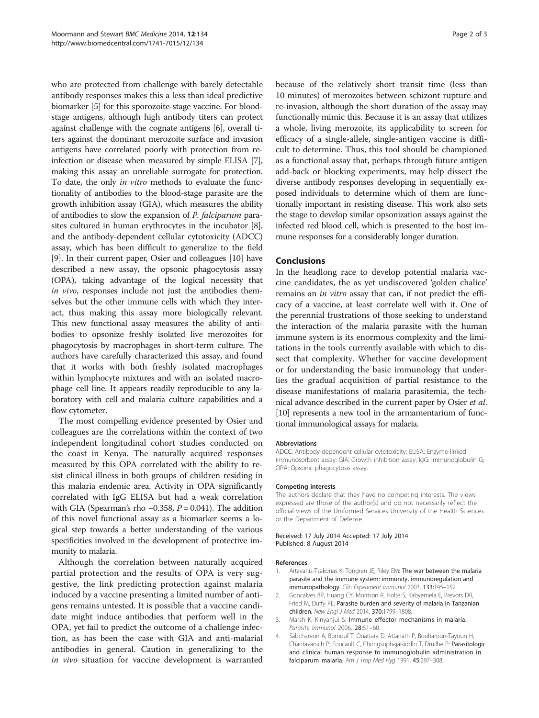<span id="page-1-0"></span>who are protected from challenge with barely detectable antibody responses makes this a less than ideal predictive biomarker [[5\]](#page-2-0) for this sporozoite-stage vaccine. For bloodstage antigens, although high antibody titers can protect against challenge with the cognate antigens [\[6](#page-2-0)], overall titers against the dominant merozoite surface and invasion antigens have correlated poorly with protection from reinfection or disease when measured by simple ELISA [[7](#page-2-0)], making this assay an unreliable surrogate for protection. To date, the only in vitro methods to evaluate the functionality of antibodies to the blood-stage parasite are the growth inhibition assay (GIA), which measures the ability of antibodies to slow the expansion of P. falciparum parasites cultured in human erythrocytes in the incubator [[8](#page-2-0)], and the antibody-dependent cellular cytotoxicity (ADCC) assay, which has been difficult to generalize to the field [[9\]](#page-2-0). In their current paper, Osier and colleagues [\[10](#page-2-0)] have described a new assay, the opsonic phagocytosis assay (OPA), taking advantage of the logical necessity that in vivo, responses include not just the antibodies themselves but the other immune cells with which they interact, thus making this assay more biologically relevant. This new functional assay measures the ability of antibodies to opsonize freshly isolated live merozoites for phagocytosis by macrophages in short-term culture. The authors have carefully characterized this assay, and found that it works with both freshly isolated macrophages within lymphocyte mixtures and with an isolated macrophage cell line. It appears readily reproducible to any laboratory with cell and malaria culture capabilities and a flow cytometer.

The most compelling evidence presented by Osier and colleagues are the correlations within the context of two independent longitudinal cohort studies conducted on the coast in Kenya. The naturally acquired responses measured by this OPA correlated with the ability to resist clinical illness in both groups of children residing in this malaria endemic area. Activity in OPA significantly correlated with IgG ELISA but had a weak correlation with GIA (Spearman's rho −0.358,  $P = 0.041$ ). The addition of this novel functional assay as a biomarker seems a logical step towards a better understanding of the various specificities involved in the development of protective immunity to malaria.

Although the correlation between naturally acquired partial protection and the results of OPA is very suggestive, the link predicting protection against malaria induced by a vaccine presenting a limited number of antigens remains untested. It is possible that a vaccine candidate might induce antibodies that perform well in the OPA, yet fail to predict the outcome of a challenge infection, as has been the case with GIA and anti-malarial antibodies in general. Caution in generalizing to the in vivo situation for vaccine development is warranted because of the relatively short transit time (less than 10 minutes) of merozoites between schizont rupture and re-invasion, although the short duration of the assay may functionally mimic this. Because it is an assay that utilizes a whole, living merozoite, its applicability to screen for efficacy of a single-allele, single-antigen vaccine is difficult to determine. Thus, this tool should be championed as a functional assay that, perhaps through future antigen add-back or blocking experiments, may help dissect the diverse antibody responses developing in sequentially exposed individuals to determine which of them are functionally important in resisting disease. This work also sets the stage to develop similar opsonization assays against the infected red blood cell, which is presented to the host immune responses for a considerably longer duration.

## Conclusions

In the headlong race to develop potential malaria vaccine candidates, the as yet undiscovered 'golden chalice' remains an *in vitro* assay that can, if not predict the efficacy of a vaccine, at least correlate well with it. One of the perennial frustrations of those seeking to understand the interaction of the malaria parasite with the human immune system is its enormous complexity and the limitations in the tools currently available with which to dissect that complexity. Whether for vaccine development or for understanding the basic immunology that underlies the gradual acquisition of partial resistance to the disease manifestations of malaria parasitemia, the technical advance described in the current paper by Osier et al. [[10](#page-2-0)] represents a new tool in the armamentarium of functional immunological assays for malaria.

#### Abbreviations

ADCC: Antibody-dependent cellular cytotoxicity; ELISA: Enzyme-linked immunosorbent assay; GIA: Growth inhibition assay; IgG: Immunoglobulin G; OPA: Opsonic phagocytosis assay.

#### Competing interests

The authors declare that they have no competing interests. The views expressed are those of the author(s) and do not necessarily reflect the official views of the Uniformed Services University of the Health Sciences or the Department of Defense.

#### Received: 17 July 2014 Accepted: 17 July 2014 Published: 8 August 2014

#### References

- Artavanis-Tsakonas K, Tongren JE, Riley EM: The war between the malaria parasite and the immune system: immunity, immunoregulation and immunopathology. Clin Experiment Immunol 2003, 133:145–152.
- 2. Goncalves BP, Huang CY, Morrison R, Holte S, Kabyemela E, Prevots DR, Fried M, Duffy PE: Parasite burden and severity of malaria in Tanzanian children. New Engl J Med 2014, 370:1799–1808.
- 3. Marsh K, Kinyanjui S: Immune effector mechanisms in malaria. Parasite Immunol 2006, 28:51–60.
- 4. Sabchareon A, Burnouf T, Ouattara D, Attanath P, Bouharoun-Tayoun H, Chantavanich P, Foucault C, Chongsuphajaisiddhi T, Druilhe P: Parasitologic and clinical human response to immunoglobulin administration in falciparum malaria. Am J Trop Med Hyg 1991, 45:297–308.